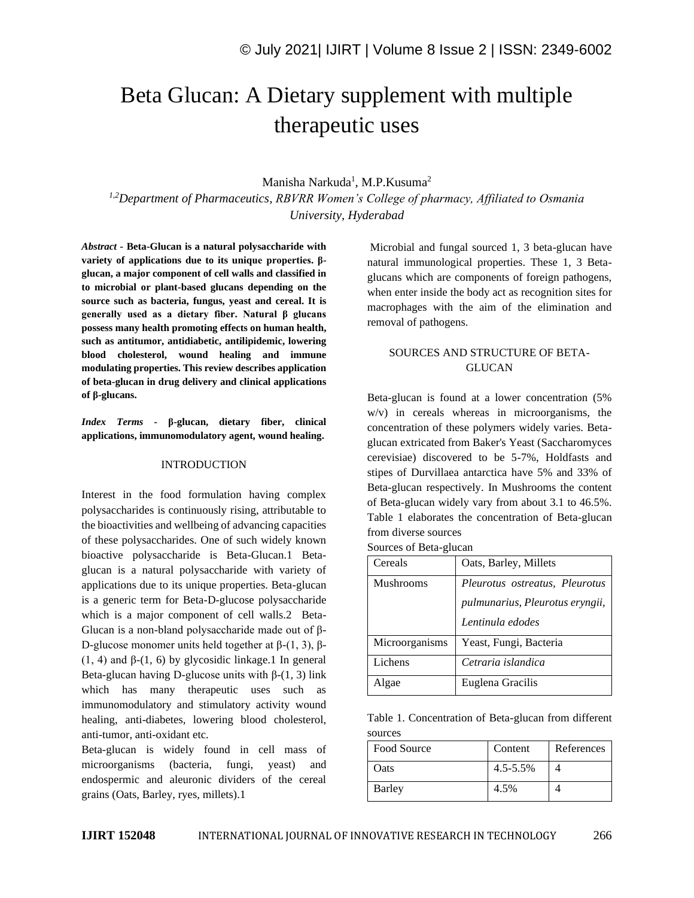# Beta Glucan: A Dietary supplement with multiple therapeutic uses

## Manisha Narkuda<sup>1</sup>, M.P.Kusuma<sup>2</sup>

*1,2Department of Pharmaceutics, RBVRR Women's College of pharmacy, Affiliated to Osmania University, Hyderabad*

*Abstract -* **Beta-Glucan is a natural polysaccharide with variety of applications due to its unique properties. βglucan, a major component of cell walls and classified in to microbial or plant-based glucans depending on the source such as bacteria, fungus, yeast and cereal. It is generally used as a dietary fiber. Natural β glucans possess many health promoting effects on human health, such as antitumor, antidiabetic, antilipidemic, lowering blood cholesterol, wound healing and immune modulating properties. This review describes application of beta-glucan in drug delivery and clinical applications of β-glucans.**

*Index Terms -* **β-glucan, dietary fiber, clinical applications, immunomodulatory agent, wound healing.**

#### **INTRODUCTION**

Interest in the food formulation having complex polysaccharides is continuously rising, attributable to the bioactivities and wellbeing of advancing capacities of these polysaccharides. One of such widely known bioactive polysaccharide is Beta-Glucan.1 Betaglucan is a natural polysaccharide with variety of applications due to its unique properties. Beta-glucan is a generic term for Beta-D-glucose polysaccharide which is a major component of cell walls.2 Beta-Glucan is a non-bland polysaccharide made out of β-D-glucose monomer units held together at  $β-(1, 3)$ ,  $β$ -(1, 4) and  $\beta$ -(1, 6) by glycosidic linkage.1 In general Beta-glucan having D-glucose units with  $\beta$ -(1, 3) link which has many therapeutic uses such as immunomodulatory and stimulatory activity wound healing, anti-diabetes, lowering blood cholesterol, anti-tumor, anti-oxidant etc.

Beta-glucan is widely found in cell mass of microorganisms (bacteria, fungi, yeast) and endospermic and aleuronic dividers of the cereal grains (Oats, Barley, ryes, millets).1

Microbial and fungal sourced 1, 3 beta-glucan have natural immunological properties. These 1, 3 Betaglucans which are components of foreign pathogens, when enter inside the body act as recognition sites for macrophages with the aim of the elimination and removal of pathogens.

# SOURCES AND STRUCTURE OF BETA-GLUCAN

Beta-glucan is found at a lower concentration (5% w/v) in cereals whereas in microorganisms, the concentration of these polymers widely varies. Betaglucan extricated from Baker's Yeast (Saccharomyces cerevisiae) discovered to be 5-7%, Holdfasts and stipes of Durvillaea antarctica have 5% and 33% of Beta-glucan respectively. In Mushrooms the content of Beta-glucan widely vary from about 3.1 to 46.5%. Table 1 elaborates the concentration of Beta-glucan from diverse sources

|  |  | Sources of Beta-glucan |  |  |  |  |
|--|--|------------------------|--|--|--|--|
|--|--|------------------------|--|--|--|--|

| Cereals        | Oats, Barley, Millets           |
|----------------|---------------------------------|
| Mushrooms      | Pleurotus ostreatus, Pleurotus  |
|                | pulmunarius, Pleurotus eryngii, |
|                | Lentinula edodes                |
| Microorganisms | Yeast, Fungi, Bacteria          |
| Lichens        | Cetraria islandica              |
| Algae          | Euglena Gracilis                |

Table 1. Concentration of Beta-glucan from different sources

| Food Source | Content       | References |
|-------------|---------------|------------|
| Oats        | $4.5 - 5.5\%$ |            |
| Barley      | 4.5%          |            |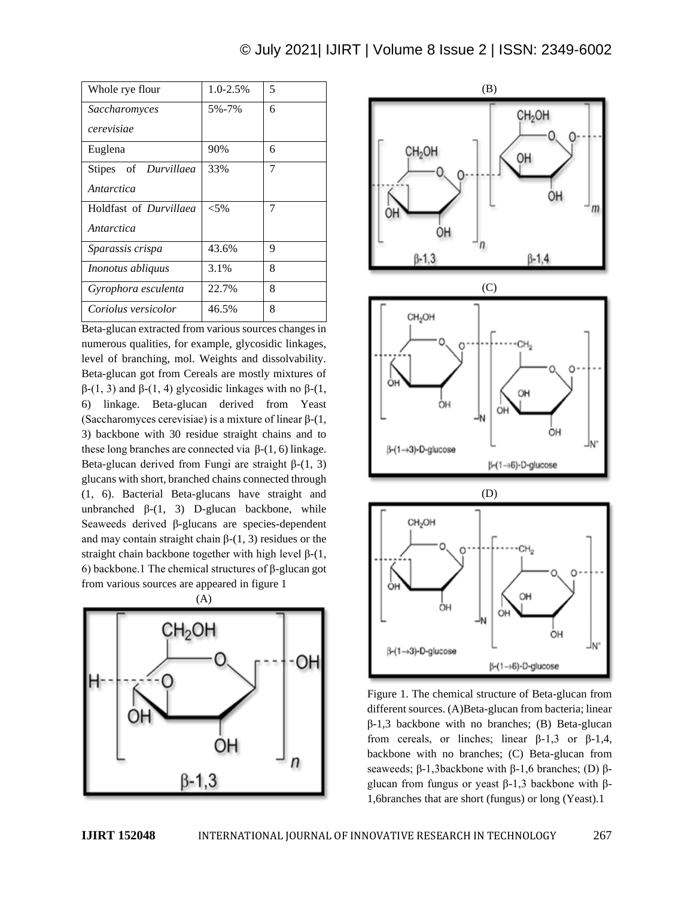| Whole rye flour               | 1.0-2.5% | 5 |
|-------------------------------|----------|---|
| Saccharomyces                 | 5%-7%    | 6 |
| cerevisiae                    |          |   |
| Euglena                       | 90%      | 6 |
| Stipes of Durvillaea          | 33%      | 7 |
| Antarctica                    |          |   |
| Holdfast of <i>Durvillaed</i> | ${<}5\%$ | 7 |
| Antarctica                    |          |   |
| Sparassis crispa              | 43.6%    | 9 |
| <i>Inonotus abliquus</i>      | 3.1%     | 8 |
| Gyrophora esculenta           | 22.7%    | 8 |
| Coriolus versicolor           | 46.5%    | 8 |

Beta-glucan extracted from various sources changes in numerous qualities, for example, glycosidic linkages, level of branching, mol. Weights and dissolvability. Beta-glucan got from Cereals are mostly mixtures of β-(1, 3) and β-(1, 4) glycosidic linkages with no β-(1, 6) linkage. Beta-glucan derived from Yeast (Saccharomyces cerevisiae) is a mixture of linear β-(1, 3) backbone with 30 residue straight chains and to these long branches are connected via  $β-(1, 6)$  linkage. Beta-glucan derived from Fungi are straight  $β-(1, 3)$ glucans with short, branched chains connected through (1, 6). Bacterial Beta-glucans have straight and unbranched  $β-(1, 3)$  D-glucan backbone, while Seaweeds derived β-glucans are species-dependent and may contain straight chain  $β-(1, 3)$  residues or the straight chain backbone together with high level  $\beta$ -(1, 6) backbone.1 The chemical structures of β-glucan got from various sources are appeared in figure 1





Figure 1. The chemical structure of Beta-glucan from different sources. (A)Beta-glucan from bacteria; linear β-1,3 backbone with no branches; (B) Beta-glucan from cereals, or linches; linear β-1,3 or β-1,4, backbone with no branches; (C) Beta-glucan from seaweeds;  $\beta$ -1,3backbone with  $\beta$ -1,6 branches; (D)  $\beta$ glucan from fungus or yeast β-1,3 backbone with β-1,6branches that are short (fungus) or long (Yeast).1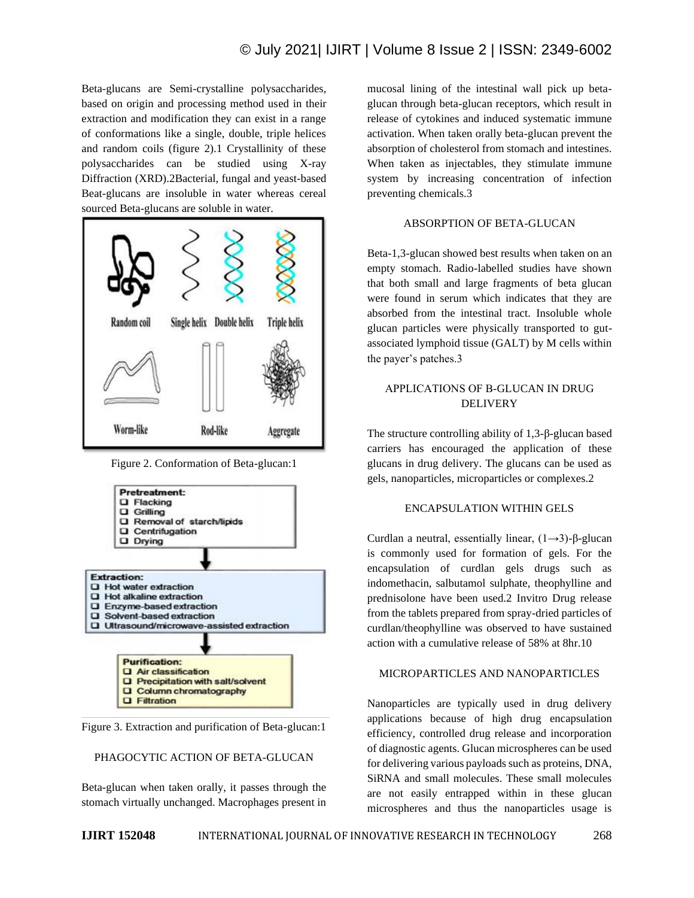Beta-glucans are Semi-crystalline polysaccharides, based on origin and processing method used in their extraction and modification they can exist in a range of conformations like a single, double, triple helices and random coils (figure 2).1 Crystallinity of these polysaccharides can be studied using X-ray Diffraction (XRD).2Bacterial, fungal and yeast-based Beat-glucans are insoluble in water whereas cereal sourced Beta-glucans are soluble in water.



Figure 2. Conformation of Beta-glucan:1



Figure 3. Extraction and purification of Beta-glucan:1

#### PHAGOCYTIC ACTION OF BETA-GLUCAN

Beta-glucan when taken orally, it passes through the stomach virtually unchanged. Macrophages present in mucosal lining of the intestinal wall pick up betaglucan through beta-glucan receptors, which result in release of cytokines and induced systematic immune activation. When taken orally beta-glucan prevent the absorption of cholesterol from stomach and intestines. When taken as injectables, they stimulate immune system by increasing concentration of infection preventing chemicals.3

## ABSORPTION OF BETA-GLUCAN

Beta-1,3-glucan showed best results when taken on an empty stomach. Radio-labelled studies have shown that both small and large fragments of beta glucan were found in serum which indicates that they are absorbed from the intestinal tract. Insoluble whole glucan particles were physically transported to gutassociated lymphoid tissue (GALT) by M cells within the payer's patches.3

# APPLICATIONS OF Β-GLUCAN IN DRUG DELIVERY

The structure controlling ability of 1,3-β-glucan based carriers has encouraged the application of these glucans in drug delivery. The glucans can be used as gels, nanoparticles, microparticles or complexes.2

## ENCAPSULATION WITHIN GELS

Curdlan a neutral, essentially linear,  $(1\rightarrow 3)$ -β-glucan is commonly used for formation of gels. For the encapsulation of curdlan gels drugs such as indomethacin, salbutamol sulphate, theophylline and prednisolone have been used.2 Invitro Drug release from the tablets prepared from spray-dried particles of curdlan/theophylline was observed to have sustained action with a cumulative release of 58% at 8hr.10

#### MICROPARTICLES AND NANOPARTICLES

Nanoparticles are typically used in drug delivery applications because of high drug encapsulation efficiency, controlled drug release and incorporation of diagnostic agents. Glucan microspheres can be used for delivering various payloads such as proteins, DNA, SiRNA and small molecules. These small molecules are not easily entrapped within in these glucan microspheres and thus the nanoparticles usage is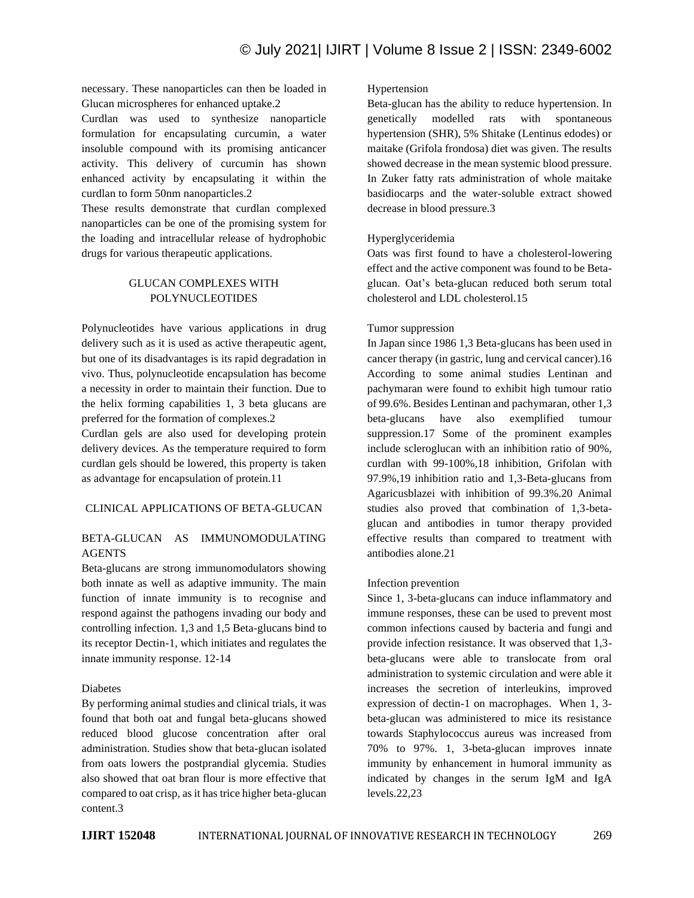necessary. These nanoparticles can then be loaded in Glucan microspheres for enhanced uptake.2

Curdlan was used to synthesize nanoparticle formulation for encapsulating curcumin, a water insoluble compound with its promising anticancer activity. This delivery of curcumin has shown enhanced activity by encapsulating it within the curdlan to form 50nm nanoparticles.2

These results demonstrate that curdlan complexed nanoparticles can be one of the promising system for the loading and intracellular release of hydrophobic drugs for various therapeutic applications.

## GLUCAN COMPLEXES WITH POLYNUCLEOTIDES

Polynucleotides have various applications in drug delivery such as it is used as active therapeutic agent, but one of its disadvantages is its rapid degradation in vivo. Thus, polynucleotide encapsulation has become a necessity in order to maintain their function. Due to the helix forming capabilities 1, 3 beta glucans are preferred for the formation of complexes.2

Curdlan gels are also used for developing protein delivery devices. As the temperature required to form curdlan gels should be lowered, this property is taken as advantage for encapsulation of protein.11

# CLINICAL APPLICATIONS OF BETA-GLUCAN

# BETA-GLUCAN AS IMMUNOMODULATING AGENTS

Beta-glucans are strong immunomodulators showing both innate as well as adaptive immunity. The main function of innate immunity is to recognise and respond against the pathogens invading our body and controlling infection. 1,3 and 1,5 Beta-glucans bind to its receptor Dectin-1, which initiates and regulates the innate immunity response. 12-14

## Diabetes

By performing animal studies and clinical trials, it was found that both oat and fungal beta-glucans showed reduced blood glucose concentration after oral administration. Studies show that beta-glucan isolated from oats lowers the postprandial glycemia. Studies also showed that oat bran flour is more effective that compared to oat crisp, as it has trice higher beta-glucan content.3

#### Hypertension

Beta-glucan has the ability to reduce hypertension. In genetically modelled rats with spontaneous hypertension (SHR), 5% Shitake (Lentinus edodes) or maitake (Grifola frondosa) diet was given. The results showed decrease in the mean systemic blood pressure. In Zuker fatty rats administration of whole maitake basidiocarps and the water-soluble extract showed decrease in blood pressure.3

## Hyperglyceridemia

Oats was first found to have a cholesterol-lowering effect and the active component was found to be Betaglucan. Oat's beta-glucan reduced both serum total cholesterol and LDL cholesterol.15

## Tumor suppression

In Japan since 1986 1,3 Beta-glucans has been used in cancer therapy (in gastric, lung and cervical cancer).16 According to some animal studies Lentinan and pachymaran were found to exhibit high tumour ratio of 99.6%. Besides Lentinan and pachymaran, other 1,3 beta-glucans have also exemplified tumour suppression.17 Some of the prominent examples include scleroglucan with an inhibition ratio of 90%, curdlan with 99-100%,18 inhibition, Grifolan with 97.9%,19 inhibition ratio and 1,3-Beta-glucans from Agaricusblazei with inhibition of 99.3%.20 Animal studies also proved that combination of 1,3-betaglucan and antibodies in tumor therapy provided effective results than compared to treatment with antibodies alone.21

## Infection prevention

Since 1, 3-beta-glucans can induce inflammatory and immune responses, these can be used to prevent most common infections caused by bacteria and fungi and provide infection resistance. It was observed that 1,3 beta-glucans were able to translocate from oral administration to systemic circulation and were able it increases the secretion of interleukins, improved expression of dectin-1 on macrophages. When 1, 3 beta-glucan was administered to mice its resistance towards Staphylococcus aureus was increased from 70% to 97%. 1, 3-beta-glucan improves innate immunity by enhancement in humoral immunity as indicated by changes in the serum IgM and IgA levels.22,23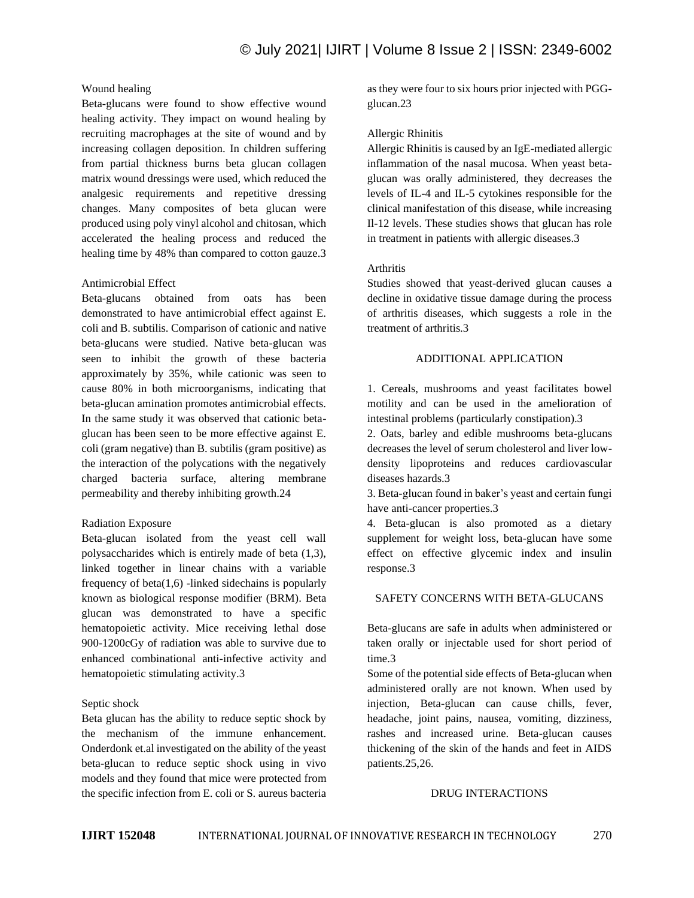# Wound healing

Beta-glucans were found to show effective wound healing activity. They impact on wound healing by recruiting macrophages at the site of wound and by increasing collagen deposition. In children suffering from partial thickness burns beta glucan collagen matrix wound dressings were used, which reduced the analgesic requirements and repetitive dressing changes. Many composites of beta glucan were produced using poly vinyl alcohol and chitosan, which accelerated the healing process and reduced the healing time by 48% than compared to cotton gauze.3

#### Antimicrobial Effect

Beta-glucans obtained from oats has been demonstrated to have antimicrobial effect against E. coli and B. subtilis. Comparison of cationic and native beta-glucans were studied. Native beta-glucan was seen to inhibit the growth of these bacteria approximately by 35%, while cationic was seen to cause 80% in both microorganisms, indicating that beta-glucan amination promotes antimicrobial effects. In the same study it was observed that cationic betaglucan has been seen to be more effective against E. coli (gram negative) than B. subtilis (gram positive) as the interaction of the polycations with the negatively charged bacteria surface, altering membrane permeability and thereby inhibiting growth.24

## Radiation Exposure

Beta-glucan isolated from the yeast cell wall polysaccharides which is entirely made of beta (1,3), linked together in linear chains with a variable frequency of beta $(1,6)$  -linked sidechains is popularly known as biological response modifier (BRM). Beta glucan was demonstrated to have a specific hematopoietic activity. Mice receiving lethal dose 900-1200cGy of radiation was able to survive due to enhanced combinational anti-infective activity and hematopoietic stimulating activity.3

## Septic shock

Beta glucan has the ability to reduce septic shock by the mechanism of the immune enhancement. Onderdonk et.al investigated on the ability of the yeast beta-glucan to reduce septic shock using in vivo models and they found that mice were protected from the specific infection from E. coli or S. aureus bacteria as they were four to six hours prior injected with PGGglucan.23

#### Allergic Rhinitis

Allergic Rhinitis is caused by an IgE-mediated allergic inflammation of the nasal mucosa. When yeast betaglucan was orally administered, they decreases the levels of IL-4 and IL-5 cytokines responsible for the clinical manifestation of this disease, while increasing Il-12 levels. These studies shows that glucan has role in treatment in patients with allergic diseases.3

## Arthritis

Studies showed that yeast-derived glucan causes a decline in oxidative tissue damage during the process of arthritis diseases, which suggests a role in the treatment of arthritis.3

#### ADDITIONAL APPLICATION

1. Cereals, mushrooms and yeast facilitates bowel motility and can be used in the amelioration of intestinal problems (particularly constipation).3

2. Oats, barley and edible mushrooms beta-glucans decreases the level of serum cholesterol and liver lowdensity lipoproteins and reduces cardiovascular diseases hazards.3

3. Beta-glucan found in baker's yeast and certain fungi have anti-cancer properties.3

4. Beta-glucan is also promoted as a dietary supplement for weight loss, beta-glucan have some effect on effective glycemic index and insulin response.3

#### SAFETY CONCERNS WITH BETA-GLUCANS

Beta-glucans are safe in adults when administered or taken orally or injectable used for short period of time.3

Some of the potential side effects of Beta-glucan when administered orally are not known. When used by injection, Beta-glucan can cause chills, fever, headache, joint pains, nausea, vomiting, dizziness, rashes and increased urine. Beta-glucan causes thickening of the skin of the hands and feet in AIDS patients.25,26.

#### DRUG INTERACTIONS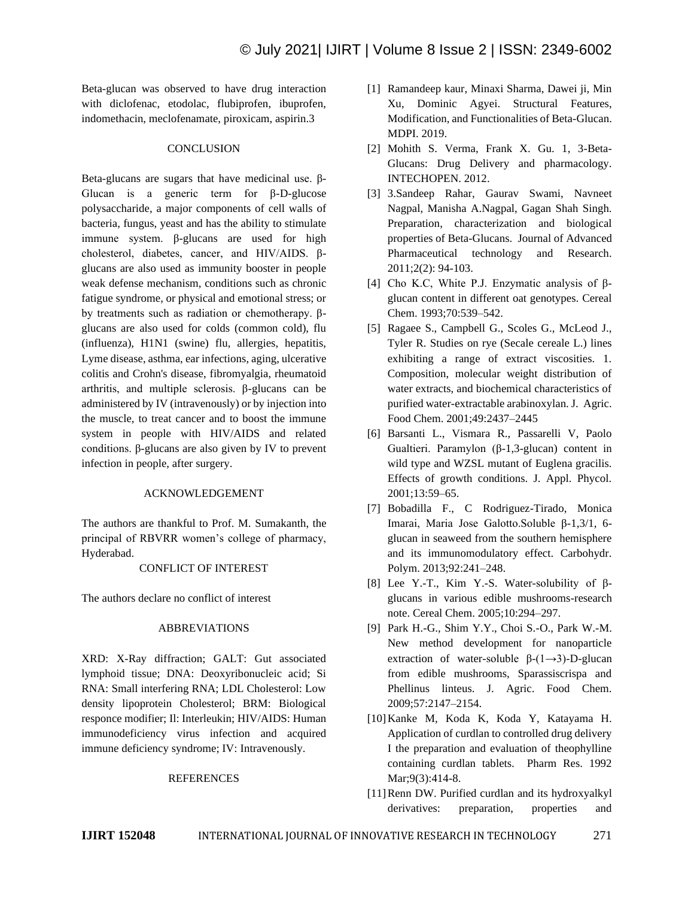Beta-glucan was observed to have drug interaction with diclofenac, etodolac, flubiprofen, ibuprofen, indomethacin, meclofenamate, piroxicam, aspirin.3

#### **CONCLUSION**

Beta-glucans are sugars that have medicinal use. β-Glucan is a generic term for β-D-glucose polysaccharide, a major components of cell walls of bacteria, fungus, yeast and has the ability to stimulate immune system. β-glucans are used for high cholesterol, diabetes, cancer, and HIV/AIDS. βglucans are also used as immunity booster in people weak defense mechanism, conditions such as chronic fatigue syndrome, or physical and emotional stress; or by treatments such as radiation or chemotherapy. βglucans are also used for colds (common cold), flu (influenza), H1N1 (swine) flu, allergies, hepatitis, Lyme disease, asthma, ear infections, aging, ulcerative colitis and Crohn's disease, fibromyalgia, rheumatoid arthritis, and multiple sclerosis. β-glucans can be administered by IV (intravenously) or by injection into the muscle, to treat cancer and to boost the immune system in people with HIV/AIDS and related conditions. β-glucans are also given by IV to prevent infection in people, after surgery.

#### ACKNOWLEDGEMENT

The authors are thankful to Prof. M. Sumakanth, the principal of RBVRR women's college of pharmacy, Hyderabad.

#### CONFLICT OF INTEREST

The authors declare no conflict of interest

#### ABBREVIATIONS

XRD: X-Ray diffraction; GALT: Gut associated lymphoid tissue; DNA: Deoxyribonucleic acid; Si RNA: Small interfering RNA; LDL Cholesterol: Low density lipoprotein Cholesterol; BRM: Biological responce modifier; Il: Interleukin; HIV/AIDS: Human immunodeficiency virus infection and acquired immune deficiency syndrome; IV: Intravenously.

#### **REFERENCES**

- [1] Ramandeep kaur, Minaxi Sharma, Dawei ji, Min Xu, Dominic Agyei. Structural Features, Modification, and Functionalities of Beta-Glucan. MDPI. 2019.
- [2] Mohith S. Verma, Frank X. Gu. 1, 3-Beta-Glucans: Drug Delivery and pharmacology. INTECHOPEN. 2012.
- [3] 3.Sandeep Rahar, Gaurav Swami, Navneet Nagpal, Manisha A.Nagpal, Gagan Shah Singh. Preparation, characterization and biological properties of Beta-Glucans. Journal of Advanced Pharmaceutical technology and Research. 2011;2(2): 94-103.
- [4] Cho K.C, White P.J. Enzymatic analysis of βglucan content in different oat genotypes. Cereal Chem. 1993;70:539–542.
- [5] Ragaee S., Campbell G., Scoles G., McLeod J., Tyler R. Studies on rye (Secale cereale L.) lines exhibiting a range of extract viscosities. 1. Composition, molecular weight distribution of water extracts, and biochemical characteristics of purified water-extractable arabinoxylan. J. Agric. Food Chem. 2001;49:2437–2445
- [6] Barsanti L., Vismara R., Passarelli V, Paolo Gualtieri. Paramylon (β-1,3-glucan) content in wild type and WZSL mutant of Euglena gracilis. Effects of growth conditions. J. Appl. Phycol. 2001;13:59–65.
- [7] Bobadilla F., C Rodriguez-Tirado, Monica Imarai, Maria Jose Galotto.Soluble β-1,3/1, 6 glucan in seaweed from the southern hemisphere and its immunomodulatory effect. Carbohydr. Polym. 2013;92:241–248.
- [8] Lee Y.-T., Kim Y.-S. Water-solubility of βglucans in various edible mushrooms-research note. Cereal Chem. 2005;10:294–297.
- [9] Park H.-G., Shim Y.Y., Choi S.-O., Park W.-M. New method development for nanoparticle extraction of water-soluble  $\beta$ -(1→3)-D-glucan from edible mushrooms, Sparassiscrispa and Phellinus linteus. J. Agric. Food Chem. 2009;57:2147–2154.
- [10]Kanke M, Koda K, Koda Y, Katayama H. Application of curdlan to controlled drug delivery I the preparation and evaluation of theophylline containing curdlan tablets. Pharm Res. 1992 Mar;9(3):414-8.
- [11] Renn DW. Purified curdlan and its hydroxyalkyl derivatives: preparation, properties and